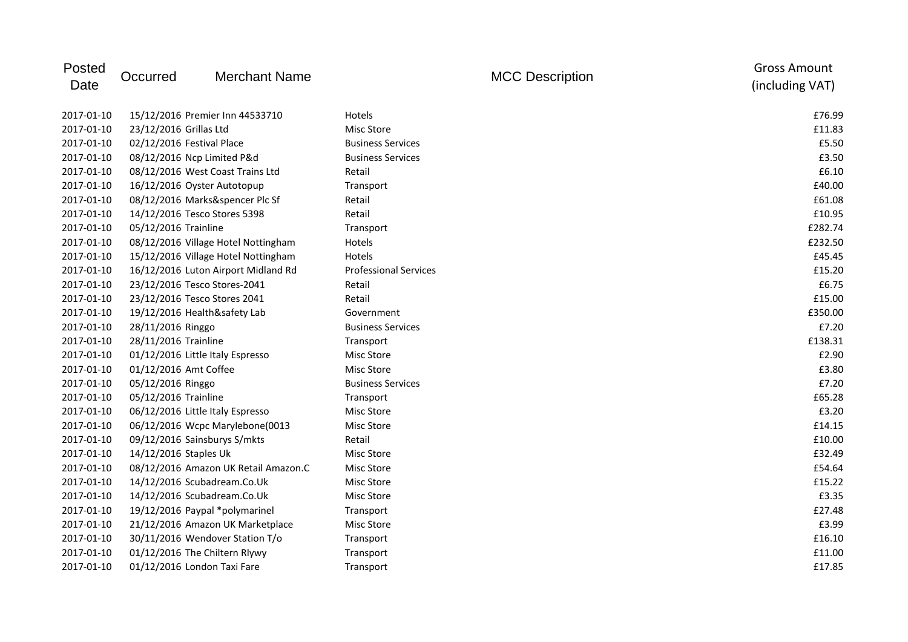| Posted<br>Date | Occurred                    | <b>Merchant Name</b>                 |                              | <b>MCC Description</b> | <b>Gross Amount</b><br>(including VAT) |
|----------------|-----------------------------|--------------------------------------|------------------------------|------------------------|----------------------------------------|
| 2017-01-10     |                             | 15/12/2016 Premier Inn 44533710      | Hotels                       |                        | £76.99                                 |
| 2017-01-10     | 23/12/2016 Grillas Ltd      |                                      | <b>Misc Store</b>            |                        | £11.83                                 |
| 2017-01-10     | 02/12/2016 Festival Place   |                                      | <b>Business Services</b>     |                        | £5.50                                  |
| 2017-01-10     | 08/12/2016 Ncp Limited P&d  |                                      | <b>Business Services</b>     |                        | £3.50                                  |
| 2017-01-10     |                             | 08/12/2016 West Coast Trains Ltd     | Retail                       |                        | £6.10                                  |
| 2017-01-10     |                             | 16/12/2016 Oyster Autotopup          | Transport                    |                        | £40.00                                 |
| 2017-01-10     |                             | 08/12/2016 Marks&spencer Plc Sf      | Retail                       |                        | £61.08                                 |
| 2017-01-10     |                             | 14/12/2016 Tesco Stores 5398         | Retail                       |                        | £10.95                                 |
| 2017-01-10     | 05/12/2016 Trainline        |                                      | Transport                    |                        | £282.74                                |
| 2017-01-10     |                             | 08/12/2016 Village Hotel Nottingham  | Hotels                       |                        | £232.50                                |
| 2017-01-10     |                             | 15/12/2016 Village Hotel Nottingham  | Hotels                       |                        | £45.45                                 |
| 2017-01-10     |                             | 16/12/2016 Luton Airport Midland Rd  | <b>Professional Services</b> |                        | £15.20                                 |
| 2017-01-10     |                             | 23/12/2016 Tesco Stores-2041         | Retail                       |                        | £6.75                                  |
| 2017-01-10     |                             | 23/12/2016 Tesco Stores 2041         | Retail                       |                        | £15.00                                 |
| 2017-01-10     |                             | 19/12/2016 Health&safety Lab         | Government                   |                        | £350.00                                |
| 2017-01-10     | 28/11/2016 Ringgo           |                                      | <b>Business Services</b>     |                        | £7.20                                  |
| 2017-01-10     | 28/11/2016 Trainline        |                                      | Transport                    |                        | £138.31                                |
| 2017-01-10     |                             | 01/12/2016 Little Italy Espresso     | Misc Store                   |                        | £2.90                                  |
| 2017-01-10     | 01/12/2016 Amt Coffee       |                                      | <b>Misc Store</b>            |                        | £3.80                                  |
| 2017-01-10     | 05/12/2016 Ringgo           |                                      | <b>Business Services</b>     |                        | £7.20                                  |
| 2017-01-10     | 05/12/2016 Trainline        |                                      | Transport                    |                        | £65.28                                 |
| 2017-01-10     |                             | 06/12/2016 Little Italy Espresso     | Misc Store                   |                        | £3.20                                  |
| 2017-01-10     |                             | 06/12/2016 Wcpc Marylebone(0013      | <b>Misc Store</b>            |                        | £14.15                                 |
| 2017-01-10     |                             | 09/12/2016 Sainsburys S/mkts         | Retail                       |                        | £10.00                                 |
| 2017-01-10     | 14/12/2016 Staples Uk       |                                      | Misc Store                   |                        | £32.49                                 |
| 2017-01-10     |                             | 08/12/2016 Amazon UK Retail Amazon.C | Misc Store                   |                        | £54.64                                 |
| 2017-01-10     |                             | 14/12/2016 Scubadream.Co.Uk          | <b>Misc Store</b>            |                        | £15.22                                 |
| 2017-01-10     |                             | 14/12/2016 Scubadream.Co.Uk          | Misc Store                   |                        | £3.35                                  |
| 2017-01-10     |                             | 19/12/2016 Paypal *polymarinel       | Transport                    |                        | £27.48                                 |
| 2017-01-10     |                             | 21/12/2016 Amazon UK Marketplace     | <b>Misc Store</b>            |                        | £3.99                                  |
| 2017-01-10     |                             | 30/11/2016 Wendover Station T/o      | Transport                    |                        | £16.10                                 |
| 2017-01-10     |                             | 01/12/2016 The Chiltern Rlywy        | Transport                    |                        | £11.00                                 |
| 2017-01-10     | 01/12/2016 London Taxi Fare |                                      | Transport                    |                        | £17.85                                 |
|                |                             |                                      |                              |                        |                                        |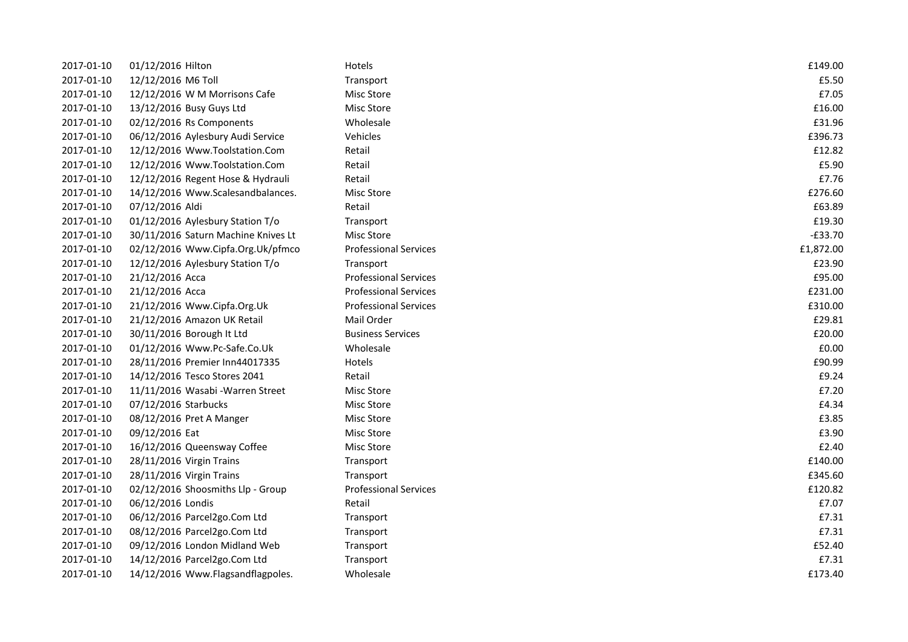| 2017-01-10 | 01/12/2016 Hilton                   | Hotels                       | £149.00   |
|------------|-------------------------------------|------------------------------|-----------|
| 2017-01-10 | 12/12/2016 M6 Toll                  | Transport                    | £5.50     |
| 2017-01-10 | 12/12/2016 W M Morrisons Cafe       | Misc Store                   | £7.05     |
| 2017-01-10 | 13/12/2016 Busy Guys Ltd            | Misc Store                   | £16.00    |
| 2017-01-10 | 02/12/2016 Rs Components            | Wholesale                    | £31.96    |
| 2017-01-10 | 06/12/2016 Aylesbury Audi Service   | Vehicles                     | £396.73   |
| 2017-01-10 | 12/12/2016 Www.Toolstation.Com      | Retail                       | £12.82    |
| 2017-01-10 | 12/12/2016 Www.Toolstation.Com      | Retail                       | £5.90     |
| 2017-01-10 | 12/12/2016 Regent Hose & Hydrauli   | Retail                       | £7.76     |
| 2017-01-10 | 14/12/2016 Www.Scalesandbalances.   | Misc Store                   | £276.60   |
| 2017-01-10 | 07/12/2016 Aldi                     | Retail                       | £63.89    |
| 2017-01-10 | 01/12/2016 Aylesbury Station T/o    | Transport                    | £19.30    |
| 2017-01-10 | 30/11/2016 Saturn Machine Knives Lt | Misc Store                   | $-£33.70$ |
| 2017-01-10 | 02/12/2016 Www.Cipfa.Org.Uk/pfmco   | <b>Professional Services</b> | £1,872.00 |
| 2017-01-10 | 12/12/2016 Aylesbury Station T/o    | Transport                    | £23.90    |
| 2017-01-10 | 21/12/2016 Acca                     | <b>Professional Services</b> | £95.00    |
| 2017-01-10 | 21/12/2016 Acca                     | <b>Professional Services</b> | £231.00   |
| 2017-01-10 | 21/12/2016 Www.Cipfa.Org.Uk         | <b>Professional Services</b> | £310.00   |
| 2017-01-10 | 21/12/2016 Amazon UK Retail         | Mail Order                   | £29.81    |
| 2017-01-10 | 30/11/2016 Borough It Ltd           | <b>Business Services</b>     | £20.00    |
| 2017-01-10 | 01/12/2016 Www.Pc-Safe.Co.Uk        | Wholesale                    | £0.00     |
| 2017-01-10 | 28/11/2016 Premier Inn44017335      | Hotels                       | £90.99    |
| 2017-01-10 | 14/12/2016 Tesco Stores 2041        | Retail                       | £9.24     |
| 2017-01-10 | 11/11/2016 Wasabi - Warren Street   | Misc Store                   | £7.20     |
| 2017-01-10 | 07/12/2016 Starbucks                | Misc Store                   | £4.34     |
| 2017-01-10 | 08/12/2016 Pret A Manger            | Misc Store                   | £3.85     |
| 2017-01-10 | 09/12/2016 Eat                      | Misc Store                   | £3.90     |
| 2017-01-10 | 16/12/2016 Queensway Coffee         | Misc Store                   | £2.40     |
| 2017-01-10 | 28/11/2016 Virgin Trains            | Transport                    | £140.00   |
| 2017-01-10 | 28/11/2016 Virgin Trains            | Transport                    | £345.60   |
| 2017-01-10 | 02/12/2016 Shoosmiths Llp - Group   | <b>Professional Services</b> | £120.82   |
| 2017-01-10 | 06/12/2016 Londis                   | Retail                       | £7.07     |
| 2017-01-10 | 06/12/2016 Parcel2go.Com Ltd        | Transport                    | £7.31     |
| 2017-01-10 | 08/12/2016 Parcel2go.Com Ltd        | Transport                    | £7.31     |
| 2017-01-10 | 09/12/2016 London Midland Web       | Transport                    | £52.40    |
| 2017-01-10 | 14/12/2016 Parcel2go.Com Ltd        | Transport                    | £7.31     |
| 2017-01-10 | 14/12/2016 Www.Flagsandflagpoles.   | Wholesale                    | £173.40   |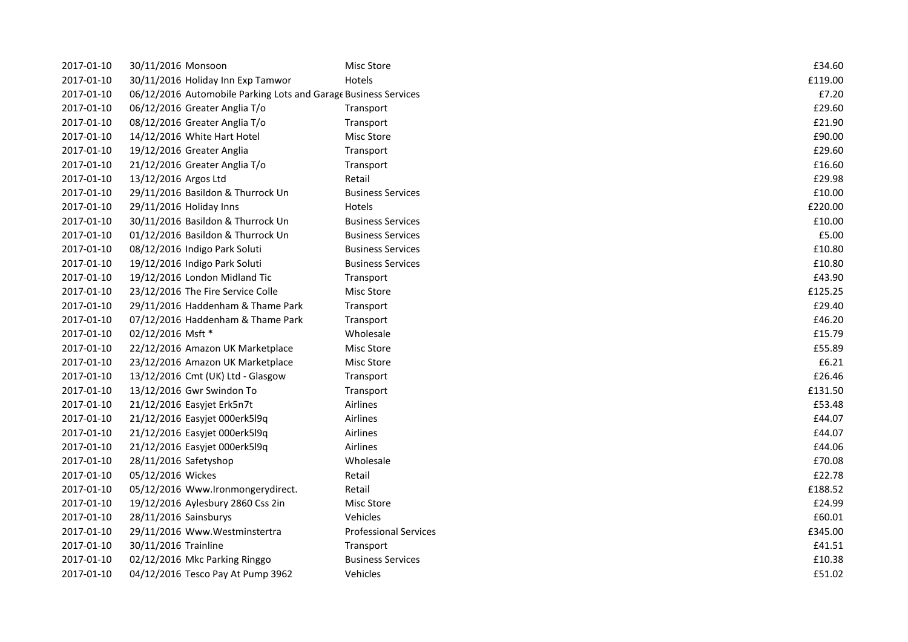| 2017-01-10 | 30/11/2016 Monsoon                                              | Misc Store                   | £34.60  |
|------------|-----------------------------------------------------------------|------------------------------|---------|
| 2017-01-10 | 30/11/2016 Holiday Inn Exp Tamwor                               | Hotels                       | £119.00 |
| 2017-01-10 | 06/12/2016 Automobile Parking Lots and Garage Business Services |                              | £7.20   |
| 2017-01-10 | 06/12/2016 Greater Anglia T/o                                   | Transport                    | £29.60  |
| 2017-01-10 | 08/12/2016 Greater Anglia T/o                                   | Transport                    | £21.90  |
| 2017-01-10 | 14/12/2016 White Hart Hotel                                     | <b>Misc Store</b>            | £90.00  |
| 2017-01-10 | 19/12/2016 Greater Anglia                                       | Transport                    | £29.60  |
| 2017-01-10 | 21/12/2016 Greater Anglia T/o                                   | Transport                    | £16.60  |
| 2017-01-10 | 13/12/2016 Argos Ltd                                            | Retail                       | £29.98  |
| 2017-01-10 | 29/11/2016 Basildon & Thurrock Un                               | <b>Business Services</b>     | £10.00  |
| 2017-01-10 | 29/11/2016 Holiday Inns                                         | Hotels                       | £220.00 |
| 2017-01-10 | 30/11/2016 Basildon & Thurrock Un                               | <b>Business Services</b>     | £10.00  |
| 2017-01-10 | 01/12/2016 Basildon & Thurrock Un                               | <b>Business Services</b>     | £5.00   |
| 2017-01-10 | 08/12/2016 Indigo Park Soluti                                   | <b>Business Services</b>     | £10.80  |
| 2017-01-10 | 19/12/2016 Indigo Park Soluti                                   | <b>Business Services</b>     | £10.80  |
| 2017-01-10 | 19/12/2016 London Midland Tic                                   | Transport                    | £43.90  |
| 2017-01-10 | 23/12/2016 The Fire Service Colle                               | Misc Store                   | £125.25 |
| 2017-01-10 | 29/11/2016 Haddenham & Thame Park                               | Transport                    | £29.40  |
| 2017-01-10 | 07/12/2016 Haddenham & Thame Park                               | Transport                    | £46.20  |
| 2017-01-10 | 02/12/2016 Msft *                                               | Wholesale                    | £15.79  |
| 2017-01-10 | 22/12/2016 Amazon UK Marketplace                                | Misc Store                   | £55.89  |
| 2017-01-10 | 23/12/2016 Amazon UK Marketplace                                | Misc Store                   | £6.21   |
| 2017-01-10 | 13/12/2016 Cmt (UK) Ltd - Glasgow                               | Transport                    | £26.46  |
| 2017-01-10 | 13/12/2016 Gwr Swindon To                                       | Transport                    | £131.50 |
| 2017-01-10 | 21/12/2016 Easyjet Erk5n7t                                      | Airlines                     | £53.48  |
| 2017-01-10 | 21/12/2016 Easyjet 000erk5l9q                                   | Airlines                     | £44.07  |
| 2017-01-10 | 21/12/2016 Easyjet 000erk5l9q                                   | Airlines                     | £44.07  |
| 2017-01-10 | 21/12/2016 Easyjet 000erk5l9q                                   | Airlines                     | £44.06  |
| 2017-01-10 | 28/11/2016 Safetyshop                                           | Wholesale                    | £70.08  |
| 2017-01-10 | 05/12/2016 Wickes                                               | Retail                       | £22.78  |
| 2017-01-10 | 05/12/2016 Www.Ironmongerydirect.                               | Retail                       | £188.52 |
| 2017-01-10 | 19/12/2016 Aylesbury 2860 Css 2in                               | Misc Store                   | £24.99  |
| 2017-01-10 | 28/11/2016 Sainsburys                                           | Vehicles                     | £60.01  |
| 2017-01-10 | 29/11/2016 Www.Westminstertra                                   | <b>Professional Services</b> | £345.00 |
| 2017-01-10 | 30/11/2016 Trainline                                            | Transport                    | £41.51  |
| 2017-01-10 | 02/12/2016 Mkc Parking Ringgo                                   | <b>Business Services</b>     | £10.38  |
| 2017-01-10 | 04/12/2016 Tesco Pay At Pump 3962                               | Vehicles                     | £51.02  |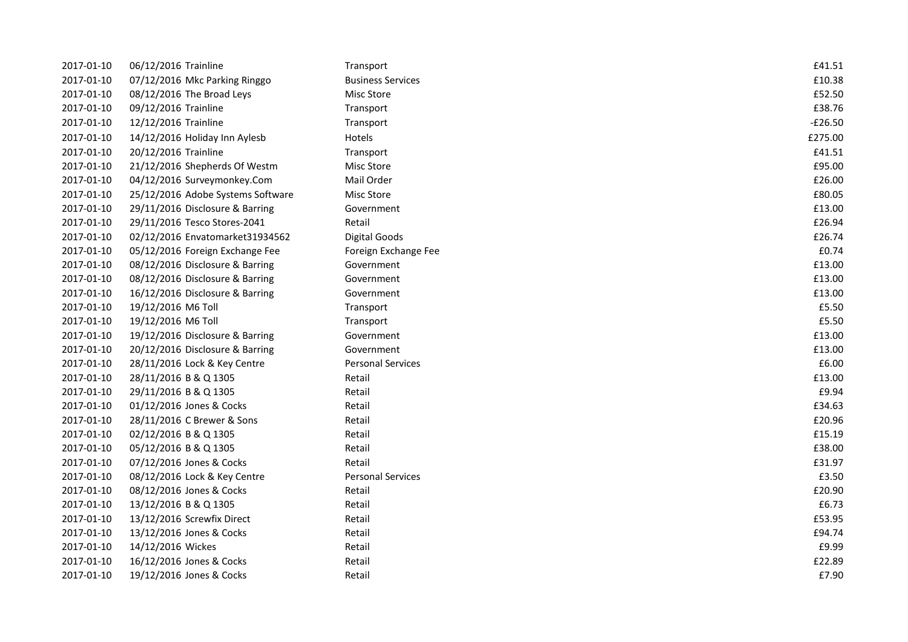| 2017-01-10 | 06/12/2016 Trainline              | Transport                | £41.51    |
|------------|-----------------------------------|--------------------------|-----------|
| 2017-01-10 | 07/12/2016 Mkc Parking Ringgo     | <b>Business Services</b> | £10.38    |
| 2017-01-10 | 08/12/2016 The Broad Leys         | <b>Misc Store</b>        | £52.50    |
| 2017-01-10 | 09/12/2016 Trainline              | Transport                | £38.76    |
| 2017-01-10 | 12/12/2016 Trainline              | Transport                | $-£26.50$ |
| 2017-01-10 | 14/12/2016 Holiday Inn Aylesb     | Hotels                   | £275.00   |
| 2017-01-10 | 20/12/2016 Trainline              | Transport                | £41.51    |
| 2017-01-10 | 21/12/2016 Shepherds Of Westm     | Misc Store               | £95.00    |
| 2017-01-10 | 04/12/2016 Surveymonkey.Com       | Mail Order               | £26.00    |
| 2017-01-10 | 25/12/2016 Adobe Systems Software | <b>Misc Store</b>        | £80.05    |
| 2017-01-10 | 29/11/2016 Disclosure & Barring   | Government               | £13.00    |
| 2017-01-10 | 29/11/2016 Tesco Stores-2041      | Retail                   | £26.94    |
| 2017-01-10 | 02/12/2016 Envatomarket31934562   | <b>Digital Goods</b>     | £26.74    |
| 2017-01-10 | 05/12/2016 Foreign Exchange Fee   | Foreign Exchange Fee     | £0.74     |
| 2017-01-10 | 08/12/2016 Disclosure & Barring   | Government               | £13.00    |
| 2017-01-10 | 08/12/2016 Disclosure & Barring   | Government               | £13.00    |
| 2017-01-10 | 16/12/2016 Disclosure & Barring   | Government               | £13.00    |
| 2017-01-10 | 19/12/2016 M6 Toll                | Transport                | £5.50     |
| 2017-01-10 | 19/12/2016 M6 Toll                | Transport                | £5.50     |
| 2017-01-10 | 19/12/2016 Disclosure & Barring   | Government               | £13.00    |
| 2017-01-10 | 20/12/2016 Disclosure & Barring   | Government               | £13.00    |
| 2017-01-10 | 28/11/2016 Lock & Key Centre      | <b>Personal Services</b> | £6.00     |
| 2017-01-10 | 28/11/2016 B & Q 1305             | Retail                   | £13.00    |
| 2017-01-10 | 29/11/2016 B & Q 1305             | Retail                   | £9.94     |
| 2017-01-10 | 01/12/2016 Jones & Cocks          | Retail                   | £34.63    |
| 2017-01-10 | 28/11/2016 C Brewer & Sons        | Retail                   | £20.96    |
| 2017-01-10 | 02/12/2016 B & Q 1305             | Retail                   | £15.19    |
| 2017-01-10 | 05/12/2016 B & Q 1305             | Retail                   | £38.00    |
| 2017-01-10 | 07/12/2016 Jones & Cocks          | Retail                   | £31.97    |
| 2017-01-10 | 08/12/2016 Lock & Key Centre      | <b>Personal Services</b> | £3.50     |
| 2017-01-10 | 08/12/2016 Jones & Cocks          | Retail                   | £20.90    |
| 2017-01-10 | 13/12/2016 B & Q 1305             | Retail                   | £6.73     |
| 2017-01-10 | 13/12/2016 Screwfix Direct        | Retail                   | £53.95    |
| 2017-01-10 | 13/12/2016 Jones & Cocks          | Retail                   | £94.74    |
| 2017-01-10 | 14/12/2016 Wickes                 | Retail                   | £9.99     |
| 2017-01-10 | 16/12/2016 Jones & Cocks          | Retail                   | £22.89    |
| 2017-01-10 | 19/12/2016 Jones & Cocks          | Retail                   | £7.90     |